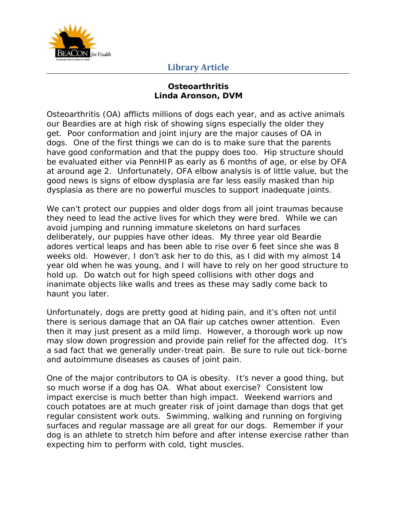

## **Library Article**

## **Osteoarthritis Linda Aronson, DVM**

Osteoarthritis (OA) afflicts millions of dogs each year, and as active animals our Beardies are at high risk of showing signs especially the older they get. Poor conformation and joint injury are the major causes of OA in dogs. One of the first things we can do is to make sure that the parents have good conformation and that the puppy does too. Hip structure should be evaluated either via PennHIP as early as 6 months of age, or else by OFA at around age 2. Unfortunately, OFA elbow analysis is of little value, but the good news is signs of elbow dysplasia are far less easily masked than hip dysplasia as there are no powerful muscles to support inadequate joints.

We can't protect our puppies and older dogs from all joint traumas because they need to lead the active lives for which they were bred. While we can avoid jumping and running immature skeletons on hard surfaces deliberately, our puppies have other ideas. My three year old Beardie adores vertical leaps and has been able to rise over 6 feet since she was 8 weeks old. However, I don't ask her to do this, as I did with my almost 14 year old when he was young, and I will have to rely on her good structure to hold up. Do watch out for high speed collisions with other dogs and inanimate objects like walls and trees as these may sadly come back to haunt you later.

Unfortunately, dogs are pretty good at hiding pain, and it's often not until there is serious damage that an OA flair up catches owner attention. Even then it may just present as a mild limp. However, a thorough work up now may slow down progression and provide pain relief for the affected dog. It's a sad fact that we generally under-treat pain. Be sure to rule out tick-borne and autoimmune diseases as causes of joint pain.

One of the major contributors to OA is obesity. It's never a good thing, but so much worse if a dog has OA. What about exercise? Consistent low impact exercise is much better than high impact. Weekend warriors and couch potatoes are at much greater risk of joint damage than dogs that get regular consistent work outs. Swimming, walking and running on forgiving surfaces and regular massage are all great for our dogs. Remember if your dog is an athlete to stretch him before and after intense exercise rather than expecting him to perform with cold, tight muscles.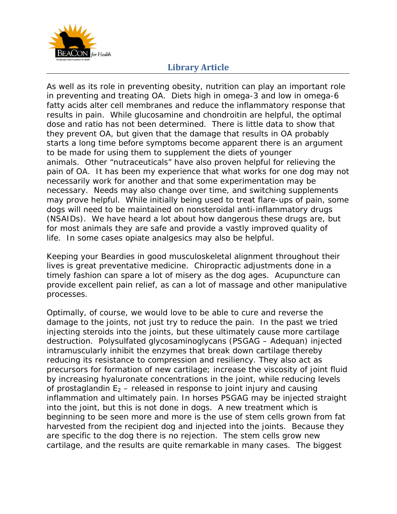

## **Library Article**

As well as its role in preventing obesity, nutrition can play an important role in preventing and treating OA. Diets high in omega-3 and low in omega-6 fatty acids alter cell membranes and reduce the inflammatory response that results in pain. While glucosamine and chondroitin are helpful, the optimal dose and ratio has not been determined. There is little data to show that they prevent OA, but given that the damage that results in OA probably starts a long time before symptoms become apparent there is an argument to be made for using them to supplement the diets of younger animals. Other "nutraceuticals" have also proven helpful for relieving the pain of OA. It has been my experience that what works for one dog may not necessarily work for another and that some experimentation may be necessary. Needs may also change over time, and switching supplements may prove helpful. While initially being used to treat flare-ups of pain, some dogs will need to be maintained on nonsteroidal anti-inflammatory drugs (NSAIDs). We have heard a lot about how dangerous these drugs are, but for most animals they are safe and provide a vastly improved quality of life. In some cases opiate analgesics may also be helpful.

Keeping your Beardies in good musculoskeletal alignment throughout their lives is great preventative medicine. Chiropractic adjustments done in a timely fashion can spare a lot of misery as the dog ages. Acupuncture can provide excellent pain relief, as can a lot of massage and other manipulative processes.

Optimally, of course, we would love to be able to cure and reverse the damage to the joints, not just try to reduce the pain. In the past we tried injecting steroids into the joints, but these ultimately cause more cartilage destruction. Polysulfated glycosaminoglycans (PSGAG – Adequan) injected intramuscularly inhibit the enzymes that break down cartilage thereby reducing its resistance to compression and resiliency. They also act as precursors for formation of new cartilage; increase the viscosity of joint fluid by increasing hyaluronate concentrations in the joint, while reducing levels of prostaglandin  $E_2$  – released in response to joint injury and causing inflammation and ultimately pain. In horses PSGAG may be injected straight into the joint, but this is not done in dogs. A new treatment which is beginning to be seen more and more is the use of stem cells grown from fat harvested from the recipient dog and injected into the joints. Because they are specific to the dog there is no rejection. The stem cells grow new cartilage, and the results are quite remarkable in many cases. The biggest